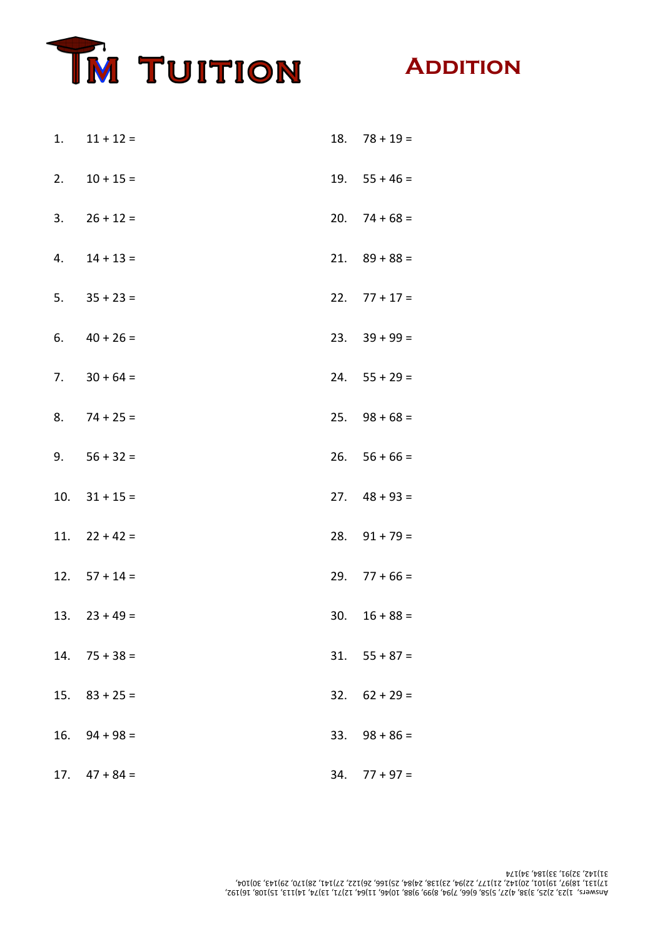



| 1. | $11 + 12 =$           |     | $18.78 + 19 =$        |
|----|-----------------------|-----|-----------------------|
|    | 2. $10 + 15 =$        |     | $19. 55 + 46 =$       |
| 3. | $26 + 12 =$           |     | $20.74 + 68 =$        |
| 4. | $14 + 13 =$           |     | $21.$ $89 + 88 =$     |
|    | $5. \qquad 35 + 23 =$ |     | $22.77 + 17 =$        |
| 6. | $40 + 26 =$           |     | $23. \quad 39 + 99 =$ |
| 7. | $30 + 64 =$           |     | $24. 55 + 29 =$       |
|    | $8.74 + 25 =$         |     | $25.$ $98 + 68 =$     |
|    | 9. $56 + 32 =$        |     | $26. 56 + 66 =$       |
|    | 10. $31 + 15 =$       |     | $27.$ $48 + 93 =$     |
|    | 11. $22 + 42 =$       |     | $28.$ $91 + 79 =$     |
|    | 12. $57 + 14 =$       |     | $29.77 + 66 =$        |
|    | $13. \quad 23 + 49 =$ |     | $30. 16 + 88 =$       |
|    | $14.75 + 38 =$        |     | $31. 55 + 87 =$       |
|    | $15. \quad 83 + 25 =$ |     | $32. 62 + 29 =$       |
|    | $16.$ $94 + 98 =$     | 33. | $98 + 86 =$           |
|    | $17.$ $47 + 84 =$     | 34. | $77 + 97 =$           |